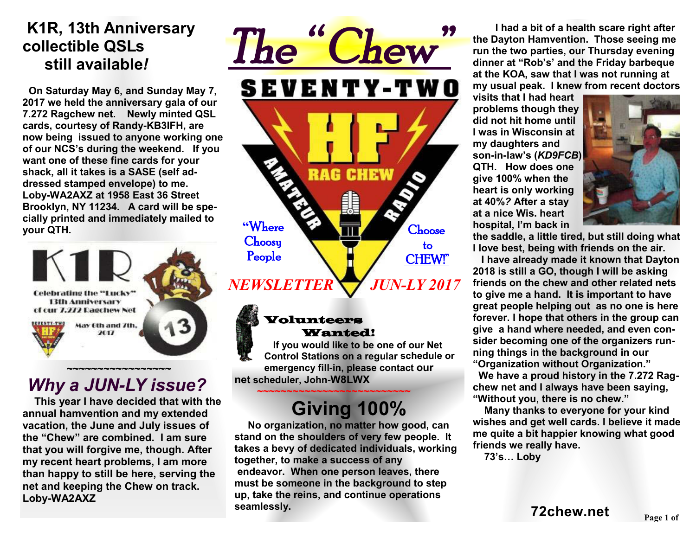## **K1R, 13th Anniversary collectible QSLs still available***!*

 **On Saturday May 6, and Sunday May 7, 2017 we held the anniversary gala of our 7.272 Ragchew net. Newly minted QSL cards, courtesy of Randy-KB3IFH, are now being issued to anyone working one of our NCS's during the weekend. If you want one of these fine cards for your shack, all it takes is a SASE (self addressed stamped envelope) to me. Loby-WA2AXZ at 1958 East 36 Street Brooklyn, NY 11234. A card will be specially printed and immediately mailed to your QTH.** 



# *Why a JUN-LY issue?*

 **This year I have decided that with the annual hamvention and my extended vacation, the June and July issues of the "Chew" are combined. I am sure that you will forgive me, though. After my recent heart problems, I am more than happy to still be here, serving the net and keeping the Chew on track. Loby-WA2AXZ** 



#### Volunteers Wanted!

 **If you would like to be one of our Net Control Stations on a regular schedule or emergency fill-in, please contact our net scheduler, John-W8LWX** 

### **~~~~~~~~~~~~~~~~~~~~~~~~~~ Giving 100%**

**No organization, no matter how good, can stand on the shoulders of very few people. It takes a bevy of dedicated individuals, working together, to make a success of any endeavor. When one person leaves, there must be someone in the background to step up, take the reins, and continue operations seamlessly.** 

 **I had a bit of a health scare right after the Dayton Hamvention. Those seeing me run the two parties, our Thursday evening dinner at "Rob's' and the Friday barbeque at the KOA, saw that I was not running at my usual peak. I knew from recent doctors** 

**visits that I had heart problems though they did not hit home until I was in Wisconsin at my daughters and son-in-law's (***KD9FCB***) QTH. How does one give 100% when the heart is only working at 40%***?* **After a stay at a nice Wis. heart hospital, I'm back in** 



**the saddle, a little tired, but still doing what I love best, being with friends on the air.** 

 **I have already made it known that Dayton 2018 is still a GO, though I will be asking friends on the chew and other related nets to give me a hand. It is important to have great people helping out as no one is here forever. I hope that others in the group can give a hand where needed, and even consider becoming one of the organizers running things in the background in our "Organization without Organization."** 

 **We have a proud history in the 7.272 Ragchew net and I always have been saying, "Without you, there is no chew."** 

 **Many thanks to everyone for your kind wishes and get well cards. I believe it made me quite a bit happier knowing what good friends we really have.** 

 **73's… Loby**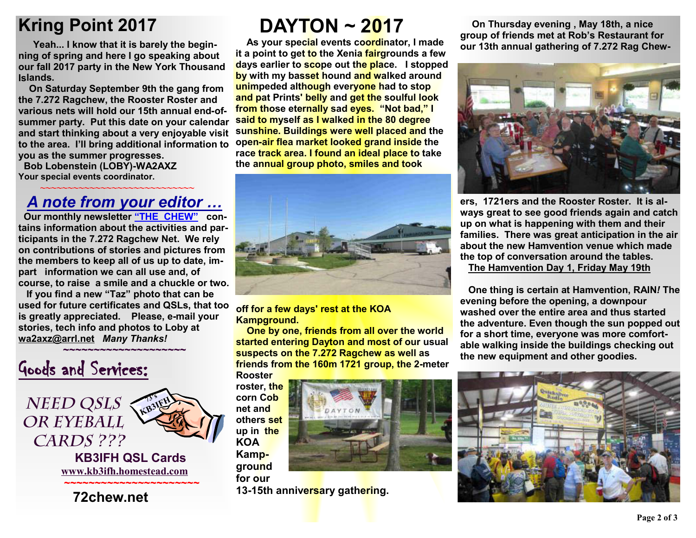# **Kring Point 2017**

 **Yeah... I know that it is barely the beginning of spring and here I go speaking about our fall 2017 party in the New York Thousand Islands.** 

**On Saturday September 9th the gang from the 7.272 Ragchew, the Rooster Roster and various nets will hold our 15th annual end-ofsummer party. Put this date on your calendar and start thinking about a very enjoyable visit to the area. I'll bring additional information to you as the summer progresses. Bob Lobenstein (LOBY)-WA2AXZ** 

**Your special events coordinator.** 

 *~~~~~~~~~~~~~~~~~~~~~~~~~~~~* 

### *A note from your editor …*

**Our monthly newsletter "THE CHEW" contains information about the activities and participants in the 7.272 Ragchew Net. We rely on contributions of stories and pictures from the members to keep all of us up to date, impart information we can all use and, of course, to raise a smile and a chuckle or two.** 

**If you find a new "Taz" photo that can be used for future certificates and QSLs, that too is greatly appreciated. Please, e-mail your stories, tech info and photos to Loby at wa2axz@arrl.net** *Many Thanks!* 



**DAYTON ~ 2017**

**As your special events coordinator, I made it a point to get to the Xenia fairgrounds a few days earlier to scope out the place. I stopped by with my basset hound and walked around unimpeded although everyone had to stop and pat Prints' belly and get the soulful look from those eternally sad eyes. "Not bad," I said to myself as I walked in the 80 degree sunshine. Buildings were well placed and the open-air flea market looked grand inside the race track area. I found an ideal place to take the annual group photo, smiles and took** 



**off for a few days' rest at the KOA Kampground.** 

**One by one, friends from all over the world started entering Dayton and most of our usual suspects on the 7.272 Ragchew as well as friends from the 160m 1721 group, the 2-meter Rooster**

**roster, the corn Cob net and others set up in the KOA Kampground** 

**for our** 

**13-15th anniversary gathering.**

 **On Thursday evening , May 18th, a nice group of friends met at Rob's Restaurant for our 13th annual gathering of 7.272 Rag Chew-**



**ers, 1721ers and the Rooster Roster. It is always great to see good friends again and catch up on what is happening with them and their families. There was great anticipation in the air about the new Hamvention venue which made the top of conversation around the tables. The Hamvention Day 1, Friday May 19th**

 **One thing is certain at Hamvention, RAIN***!* **The evening before the opening, a downpour washed over the entire area and thus started the adventure. Even though the sun popped out for a short time, everyone was more comfortable walking inside the buildings checking out the new equipment and other goodies.**